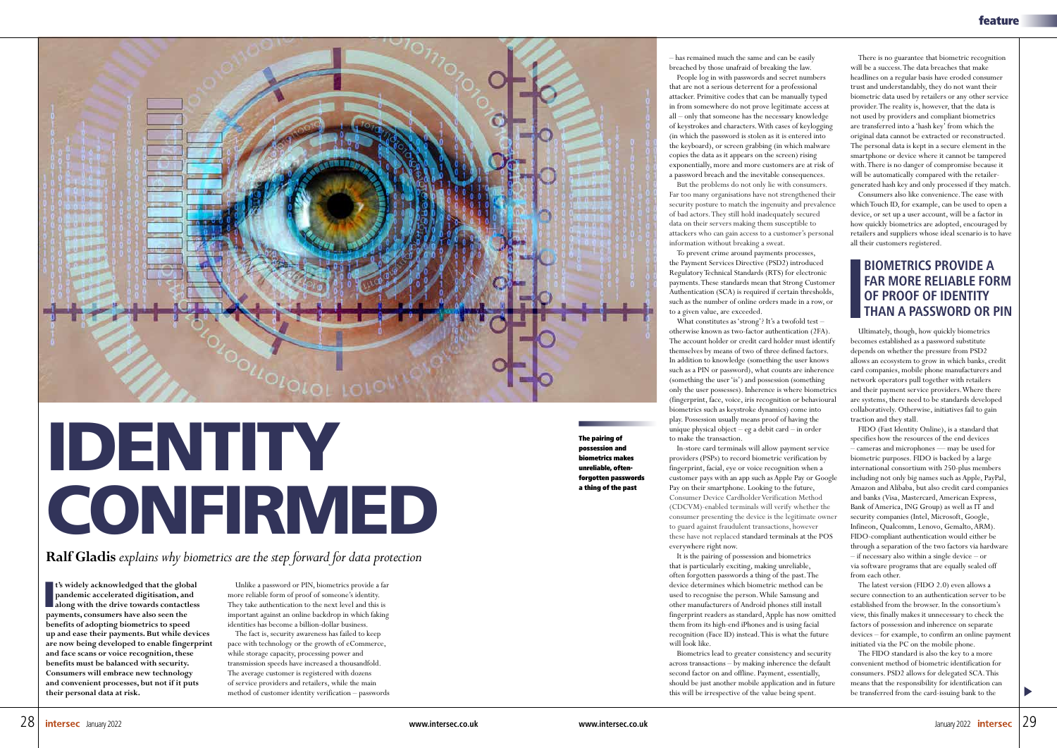

## IDENTITY CONFIRMED

**Ralf Gladis** *explains why biometrics are the step forward for data protection*

**t's widely acknowledged that the global<br>
pandemic accelerated digitisation, and<br>
along with the drive towards contactless<br>
payments consumers have also seen the pandemic accelerated digitisation, and along with the drive towards contactless payments, consumers have also seen the benefits of adopting biometrics to speed up and ease their payments. But while devices are now being developed to enable fingerprint and face scans or voice recognition, these benefits must be balanced with security. Consumers will embrace new technology and convenient processes, but not if it puts their personal data at risk.**

Unlike a password or PIN, biometrics provide a far more reliable form of proof of someone's identity. They take authentication to the next level and this is important against an online backdrop in which faking identities has become a billion-dollar business.

The fact is, security awareness has failed to keep pace with technology or the growth of eCommerce, while storage capacity, processing power and transmission speeds have increased a thousandfold. The average customer is registered with dozens of service providers and retailers, while the main method of customer identity verification – passwords – has remained much the same and can be easily breached by those unafraid of breaking the law.

People log in with passwords and secret numbers that are not a serious deterrent for a professional attacker. Primitive codes that can be manually typed in from somewhere do not prove legitimate access at all – only that someone has the necessary knowledge of keystrokes and characters. With cases of keylogging (in which the password is stolen as it is entered into the keyboard), or screen grabbing (in which malware copies the data as it appears on the screen) rising exponentially, more and more customers are at risk of a password breach and the inevitable consequences.

But the problems do not only lie with consumers. Far too many organisations have not strengthened their security posture to match the ingenuity and prevalence of bad actors. They still hold inadequately secured data on their servers making them susceptible to attackers who can gain access to a customer's personal information without breaking a sweat.

To prevent crime around payments processes, the Payment Services Directive (PSD2) introduced Regulatory Technical Standards (RTS) for electronic payments. These standards mean that Strong Customer Authentication (SCA) is required if certain thresholds, such as the number of online orders made in a row, or to a given value, are exceeded.

What constitutes as 'strong'? It's a twofold test – otherwise known as two-factor authentication (2FA). The account holder or credit card holder must identify themselves by means of two of three defined factors. In addition to knowledge (something the user knows such as a PIN or password), what counts are inherence (something the user 'is') and possession (something only the user possesses). Inherence is where biometrics (fingerprint, face, voice, iris recognition or behavioural biometrics such as keystroke dynamics) come into play. Possession usually means proof of having the unique physical object – eg a debit card – in order to make the transaction.

In-store card terminals will allow payment service providers (PSPs) to record biometric verification by fingerprint, facial, eye or voice recognition when a customer pays with an app such as Apple Pay or Google Pay on their smartphone. Looking to the future, Consumer Device Cardholder Verification Method (CDCVM)-enabled terminals will verify whether the consumer presenting the device is the legitimate owner to guard against fraudulent transactions, however these have not replaced standard terminals at the POS everywhere right now.

It is the pairing of possession and biometrics that is particularly exciting, making unreliable, often forgotten passwords a thing of the past. The device determines which biometric method can be used to recognise the person. While Samsung and other manufacturers of Android phones still install fingerprint readers as standard, Apple has now omitted them from its high-end iPhones and is using facial recognition (Face ID) instead. This is what the future will look like.

Biometrics lead to greater consistency and security across transactions – by making inherence the default second factor on and offline. Payment, essentially, should be just another mobile application and in future this will be irrespective of the value being spent.

There is no guarantee that biometric recognition will be a success. The data breaches that make headlines on a regular basis have eroded consumer trust and understandably, they do not want their biometric data used by retailers or any other service provider. The reality is, however, that the data is not used by providers and compliant biometrics are transferred into a 'hash key' from which the original data cannot be extracted or reconstructed. The personal data is kept in a secure element in the smartphone or device where it cannot be tampered with. There is no danger of compromise because it will be automatically compared with the retailergenerated hash key and only processed if they match.

Consumers also like convenience. The ease with which Touch ID, for example, can be used to open a device, or set up a user account, will be a factor in how quickly biometrics are adopted, encouraged by retailers and suppliers whose ideal scenario is to have all their customers registered.

Ultimately, though, how quickly biometrics becomes established as a password substitute depends on whether the pressure from PSD2 allows an ecosystem to grow in which banks, credit card companies, mobile phone manufacturers and network operators pull together with retailers and their payment service providers. Where there are systems, there need to be standards developed collaboratively. Otherwise, initiatives fail to gain traction and they stall.

FIDO (Fast Identity Online), is a standard that specifies how the resources of the end devices – cameras and microphones — may be used for biometric purposes. FIDO is backed by a large international consortium with 250-plus members including not only big names such as Apple, PayPal, Amazon and Alibaba, but also credit card companies and banks (Visa, Mastercard, American Express, Bank of America, ING Group) as well as IT and security companies (Intel, Microsoft, Google, Infineon, Qualcomm, Lenovo, Gemalto, ARM). FIDO-compliant authentication would either be through a separation of the two factors via hardware – if necessary also within a single device – or via software programs that are equally sealed off from each other.

The latest version (FIDO 2.0) even allows a secure connection to an authentication server to be established from the browser. In the consortium's view, this finally makes it unnecessary to check the factors of possession and inherence on separate devices – for example, to confirm an online payment initiated via the PC on the mobile phone.

The FIDO standard is also the key to a more convenient method of biometric identification for consumers. PSD2 allows for delegated SCA. This means that the responsibility for identification can be transferred from the card-issuing bank to the

## **BIOMETRICS PROVIDE A FAR MORE RELIABLE FORM OF PROOF OF IDENTITY THAN A PASSWORD OR PIN**

The pairing of possession and biometrics makes unreliable, oftenforgotten passwords a thing of the past